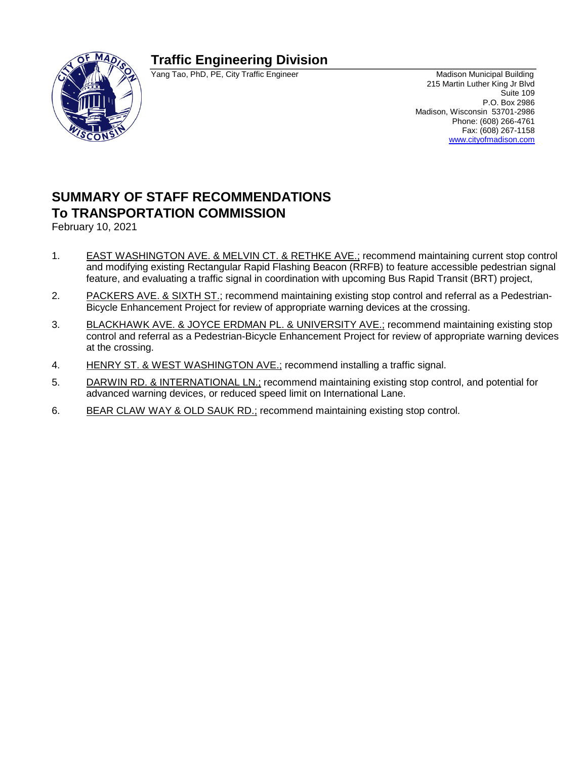# **Traffic Engineering Division**



Yang Tao, PhD, PE, City Traffic Engineer Machineer Madison Municipal Building

215 Martin Luther King Jr Blvd Suite 109 P.O. Box 2986 Madison, Wisconsin 53701-2986 Phone: (608) 266-4761 Fax: (608) 267-1158 [www.cityofmadison.com](http://www.cityofmadison.com/)

# **SUMMARY OF STAFF RECOMMENDATIONS To TRANSPORTATION COMMISSION**

February 10, 2021

- 1. EAST WASHINGTON AVE. & MELVIN CT. & RETHKE AVE.; recommend maintaining current stop control and modifying existing Rectangular Rapid Flashing Beacon (RRFB) to feature accessible pedestrian signal feature, and evaluating a traffic signal in coordination with upcoming Bus Rapid Transit (BRT) project,
- 2. PACKERS AVE. & SIXTH ST.; recommend maintaining existing stop control and referral as a Pedestrian-Bicycle Enhancement Project for review of appropriate warning devices at the crossing.
- 3. BLACKHAWK AVE. & JOYCE ERDMAN PL. & UNIVERSITY AVE.; recommend maintaining existing stop control and referral as a Pedestrian-Bicycle Enhancement Project for review of appropriate warning devices at the crossing.
- 4. HENRY ST. & WEST WASHINGTON AVE.; recommend installing a traffic signal.
- 5. DARWIN RD. & INTERNATIONAL LN.; recommend maintaining existing stop control, and potential for advanced warning devices, or reduced speed limit on International Lane.
- 6. BEAR CLAW WAY & OLD SAUK RD.; recommend maintaining existing stop control.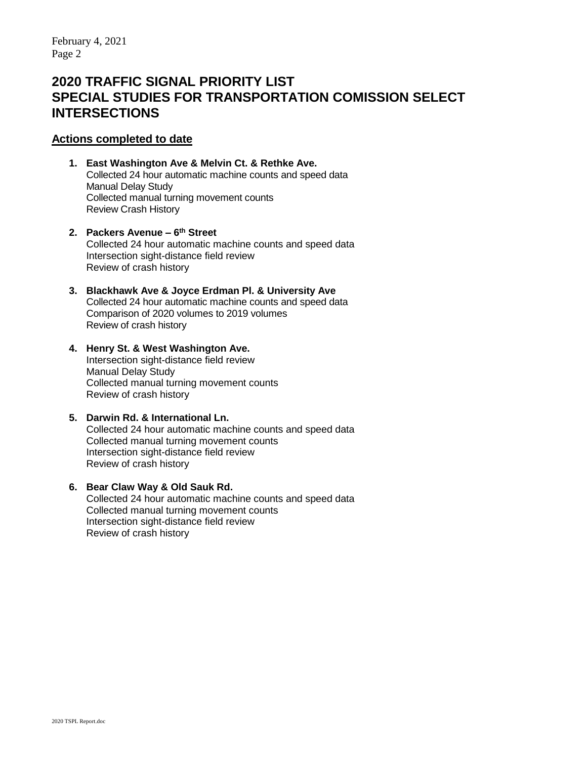# **2020 TRAFFIC SIGNAL PRIORITY LIST SPECIAL STUDIES FOR TRANSPORTATION COMISSION SELECT INTERSECTIONS**

### **Actions completed to date**

- **1. East Washington Ave & Melvin Ct. & Rethke Ave.** Collected 24 hour automatic machine counts and speed data Manual Delay Study Collected manual turning movement counts Review Crash History
- **2. Packers Avenue – 6 th Street** Collected 24 hour automatic machine counts and speed data Intersection sight-distance field review Review of crash history
- **3. Blackhawk Ave & Joyce Erdman Pl. & University Ave** Collected 24 hour automatic machine counts and speed data Comparison of 2020 volumes to 2019 volumes Review of crash history
- **4. Henry St. & West Washington Ave.** Intersection sight-distance field review Manual Delay Study Collected manual turning movement counts Review of crash history

#### **5. Darwin Rd. & International Ln.** Collected 24 hour automatic machine counts and speed data Collected manual turning movement counts Intersection sight-distance field review Review of crash history

#### **6. Bear Claw Way & Old Sauk Rd.** Collected 24 hour automatic machine counts and speed data Collected manual turning movement counts Intersection sight-distance field review Review of crash history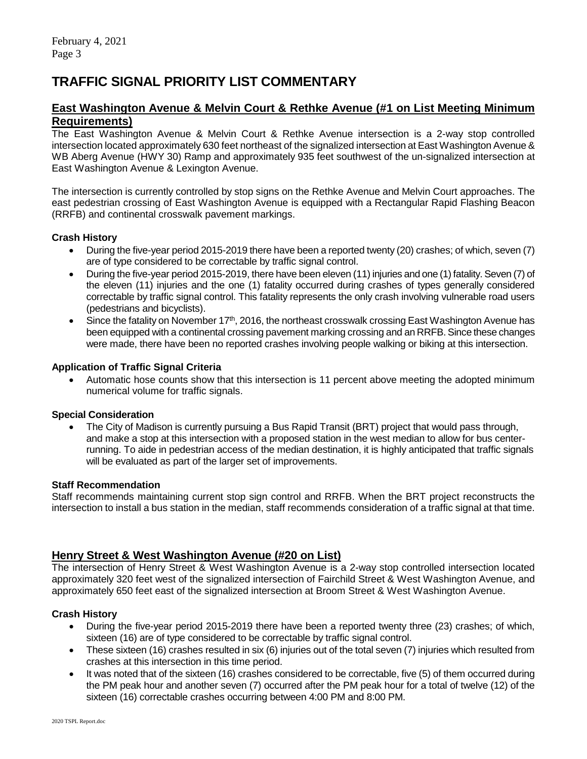# **TRAFFIC SIGNAL PRIORITY LIST COMMENTARY**

## **East Washington Avenue & Melvin Court & Rethke Avenue (#1 on List Meeting Minimum Requirements)**

The East Washington Avenue & Melvin Court & Rethke Avenue intersection is a 2-way stop controlled intersection located approximately 630 feet northeast of the signalized intersection at East Washington Avenue & WB Aberg Avenue (HWY 30) Ramp and approximately 935 feet southwest of the un-signalized intersection at East Washington Avenue & Lexington Avenue.

The intersection is currently controlled by stop signs on the Rethke Avenue and Melvin Court approaches. The east pedestrian crossing of East Washington Avenue is equipped with a Rectangular Rapid Flashing Beacon (RRFB) and continental crosswalk pavement markings.

#### **Crash History**

- During the five-year period 2015-2019 there have been a reported twenty (20) crashes; of which, seven (7) are of type considered to be correctable by traffic signal control.
- During the five-year period 2015-2019, there have been eleven (11) injuries and one (1) fatality. Seven (7) of the eleven (11) injuries and the one (1) fatality occurred during crashes of types generally considered correctable by traffic signal control. This fatality represents the only crash involving vulnerable road users (pedestrians and bicyclists).
- Since the fatality on November 17<sup>th</sup>, 2016, the northeast crosswalk crossing East Washington Avenue has been equipped with a continental crossing pavement marking crossing and an RRFB. Since these changes were made, there have been no reported crashes involving people walking or biking at this intersection.

#### **Application of Traffic Signal Criteria**

 Automatic hose counts show that this intersection is 11 percent above meeting the adopted minimum numerical volume for traffic signals.

#### **Special Consideration**

 The City of Madison is currently pursuing a Bus Rapid Transit (BRT) project that would pass through, and make a stop at this intersection with a proposed station in the west median to allow for bus centerrunning. To aide in pedestrian access of the median destination, it is highly anticipated that traffic signals will be evaluated as part of the larger set of improvements.

#### **Staff Recommendation**

Staff recommends maintaining current stop sign control and RRFB. When the BRT project reconstructs the intersection to install a bus station in the median, staff recommends consideration of a traffic signal at that time.

## **Henry Street & West Washington Avenue (#20 on List)**

The intersection of Henry Street & West Washington Avenue is a 2-way stop controlled intersection located approximately 320 feet west of the signalized intersection of Fairchild Street & West Washington Avenue, and approximately 650 feet east of the signalized intersection at Broom Street & West Washington Avenue.

#### **Crash History**

- During the five-year period 2015-2019 there have been a reported twenty three (23) crashes; of which, sixteen (16) are of type considered to be correctable by traffic signal control.
- These sixteen (16) crashes resulted in six (6) injuries out of the total seven (7) injuries which resulted from crashes at this intersection in this time period.
- It was noted that of the sixteen (16) crashes considered to be correctable, five (5) of them occurred during the PM peak hour and another seven (7) occurred after the PM peak hour for a total of twelve (12) of the sixteen (16) correctable crashes occurring between 4:00 PM and 8:00 PM.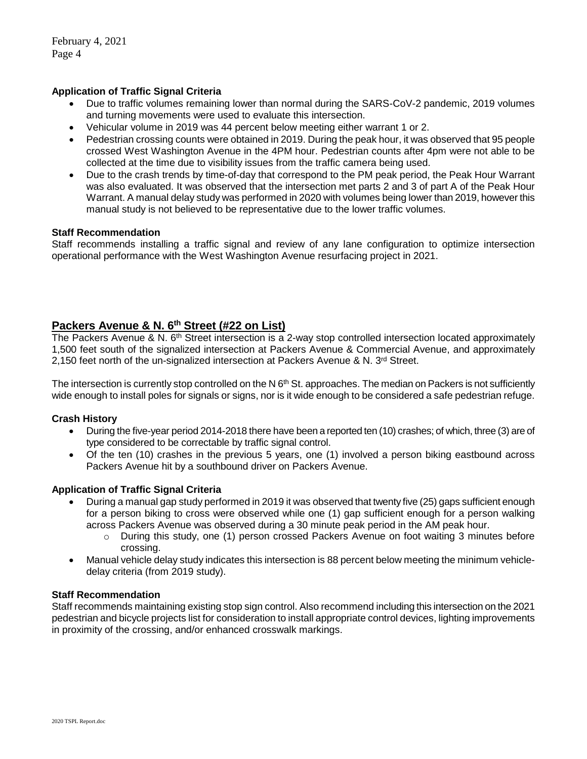#### **Application of Traffic Signal Criteria**

- Due to traffic volumes remaining lower than normal during the SARS-CoV-2 pandemic, 2019 volumes and turning movements were used to evaluate this intersection.
- Vehicular volume in 2019 was 44 percent below meeting either warrant 1 or 2.
- Pedestrian crossing counts were obtained in 2019. During the peak hour, it was observed that 95 people crossed West Washington Avenue in the 4PM hour. Pedestrian counts after 4pm were not able to be collected at the time due to visibility issues from the traffic camera being used.
- Due to the crash trends by time-of-day that correspond to the PM peak period, the Peak Hour Warrant was also evaluated. It was observed that the intersection met parts 2 and 3 of part A of the Peak Hour Warrant. A manual delay study was performed in 2020 with volumes being lower than 2019, however this manual study is not believed to be representative due to the lower traffic volumes.

#### **Staff Recommendation**

Staff recommends installing a traffic signal and review of any lane configuration to optimize intersection operational performance with the West Washington Avenue resurfacing project in 2021.

# **Packers Avenue & N. 6th Street (#22 on List)**

The Packers Avenue & N. 6th Street intersection is a 2-way stop controlled intersection located approximately 1,500 feet south of the signalized intersection at Packers Avenue & Commercial Avenue, and approximately 2,150 feet north of the un-signalized intersection at Packers Avenue & N.  $3<sup>rd</sup>$  Street.

The intersection is currently stop controlled on the N  $6<sup>th</sup>$  St. approaches. The median on Packers is not sufficiently wide enough to install poles for signals or signs, nor is it wide enough to be considered a safe pedestrian refuge.

#### **Crash History**

- During the five-year period 2014-2018 there have been a reported ten (10) crashes; of which, three (3) are of type considered to be correctable by traffic signal control.
- Of the ten (10) crashes in the previous 5 years, one (1) involved a person biking eastbound across Packers Avenue hit by a southbound driver on Packers Avenue.

#### **Application of Traffic Signal Criteria**

- During a manual gap study performed in 2019 it was observed that twenty five (25) gaps sufficient enough for a person biking to cross were observed while one (1) gap sufficient enough for a person walking across Packers Avenue was observed during a 30 minute peak period in the AM peak hour.
	- $\circ$  During this study, one (1) person crossed Packers Avenue on foot waiting 3 minutes before crossing.
- Manual vehicle delay study indicates this intersection is 88 percent below meeting the minimum vehicledelay criteria (from 2019 study).

#### **Staff Recommendation**

Staff recommends maintaining existing stop sign control. Also recommend including this intersection on the 2021 pedestrian and bicycle projects list for consideration to install appropriate control devices, lighting improvements in proximity of the crossing, and/or enhanced crosswalk markings.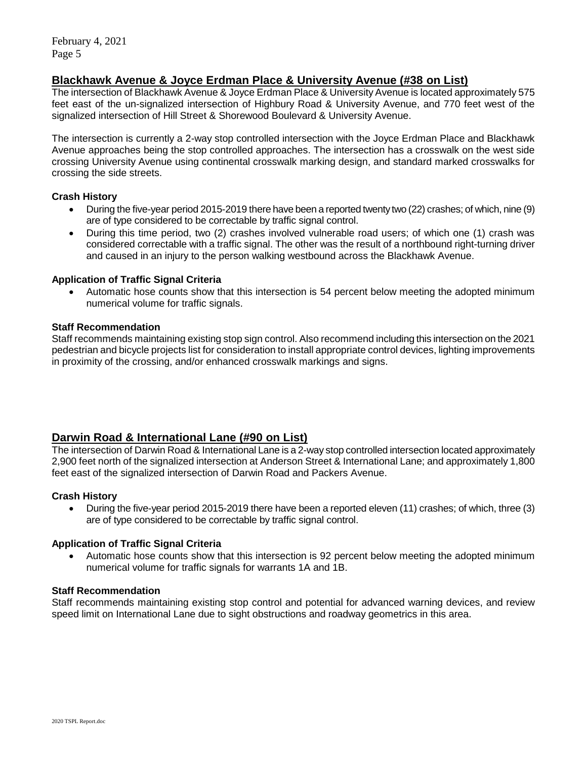February 4, 2021 Page 5

### **Blackhawk Avenue & Joyce Erdman Place & University Avenue (#38 on List)**

The intersection of Blackhawk Avenue & Joyce Erdman Place & University Avenue is located approximately 575 feet east of the un-signalized intersection of Highbury Road & University Avenue, and 770 feet west of the signalized intersection of Hill Street & Shorewood Boulevard & University Avenue.

The intersection is currently a 2-way stop controlled intersection with the Joyce Erdman Place and Blackhawk Avenue approaches being the stop controlled approaches. The intersection has a crosswalk on the west side crossing University Avenue using continental crosswalk marking design, and standard marked crosswalks for crossing the side streets.

#### **Crash History**

- During the five-year period 2015-2019 there have been a reported twenty two (22) crashes; of which, nine (9) are of type considered to be correctable by traffic signal control.
- During this time period, two (2) crashes involved vulnerable road users; of which one (1) crash was considered correctable with a traffic signal. The other was the result of a northbound right-turning driver and caused in an injury to the person walking westbound across the Blackhawk Avenue.

#### **Application of Traffic Signal Criteria**

 Automatic hose counts show that this intersection is 54 percent below meeting the adopted minimum numerical volume for traffic signals.

#### **Staff Recommendation**

Staff recommends maintaining existing stop sign control. Also recommend including this intersection on the 2021 pedestrian and bicycle projects list for consideration to install appropriate control devices, lighting improvements in proximity of the crossing, and/or enhanced crosswalk markings and signs.

# **Darwin Road & International Lane (#90 on List)**

The intersection of Darwin Road & International Lane is a 2-way stop controlled intersection located approximately 2,900 feet north of the signalized intersection at Anderson Street & International Lane; and approximately 1,800 feet east of the signalized intersection of Darwin Road and Packers Avenue.

#### **Crash History**

 During the five-year period 2015-2019 there have been a reported eleven (11) crashes; of which, three (3) are of type considered to be correctable by traffic signal control.

#### **Application of Traffic Signal Criteria**

 Automatic hose counts show that this intersection is 92 percent below meeting the adopted minimum numerical volume for traffic signals for warrants 1A and 1B.

#### **Staff Recommendation**

Staff recommends maintaining existing stop control and potential for advanced warning devices, and review speed limit on International Lane due to sight obstructions and roadway geometrics in this area.